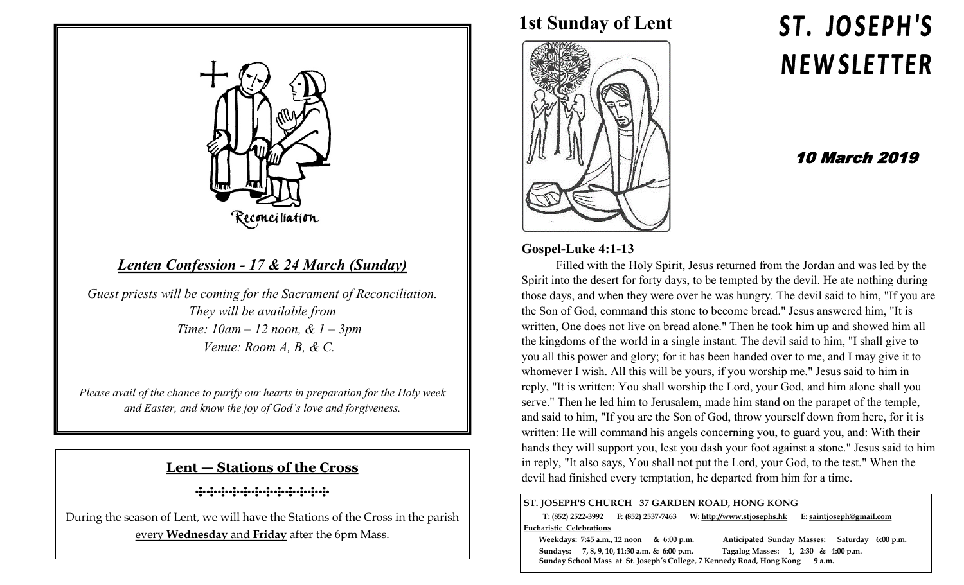

# *Lenten Confession - 17 & 24 March (Sunday)*

*Guest priests will be coming for the Sacrament of Reconciliation. They will be available from Time: 10am – 12 noon, & 1 – 3pm Venue: Room A, B, & C.* 

*Please avail of the chance to purify our hearts in preparation for the Holy week and Easter, and know the joy of God's love and forgiveness.*

#### **Lent — Stations of the Cross**

**⸭⸭⸭⸭⸭⸭⸭⸭⸭⸭⸭⸭**

During the season of Lent, we will have the Stations of the Cross in the parish every **Wednesday** and **Friday** after the 6pm Mass.

**1st Sunday of Lent**



# ST. JOSEPH'S **NEWSLETTER**

## 10 March 2019

#### **Gospel-Luke 4:1-13**

Filled with the Holy Spirit, Jesus returned from the Jordan and was led by the Spirit into the desert for forty days, to be tempted by the devil. He ate nothing during those days, and when they were over he was hungry. The devil said to him, "If you are the Son of God, command this stone to become bread." Jesus answered him, "It is written, One does not live on bread alone." Then he took him up and showed him all the kingdoms of the world in a single instant. The devil said to him, "I shall give to you all this power and glory; for it has been handed over to me, and I may give it to whomever I wish. All this will be yours, if you worship me." Jesus said to him in reply, "It is written: You shall worship the Lord, your God, and him alone shall you serve." Then he led him to Jerusalem, made him stand on the parapet of the temple, and said to him, "If you are the Son of God, throw yourself down from here, for it is written: He will command his angels concerning you, to guard you, and: With their hands they will support you, lest you dash your foot against a stone." Jesus said to him in reply, "It also says, You shall not put the Lord, your God, to the test." When the devil had finished every temptation, he departed from him for a time.

#### **ST. JOSEPH'S CHURCH 37 GARDEN ROAD, HONG KONG**

 **T: (852) 2522-3992 F: (852) 2537-7463 W: http://www.stjosephs.hk E: saintjoseph@gmail.com Eucharistic Celebrations** 

 **Weekdays: 7:45 a.m., 12 noon & 6:00 p.m. Anticipated Sunday Masses: Saturday 6:00 p.m. Sundays: 7, 8, 9, 10, 11:30 a.m. & 6:00 p.m. Tagalog Masses: 1, 2:30 & 4:00 p.m. Sunday School Mass at St. Joseph's College, 7 Kennedy Road, Hong Kong 9 a.m.**